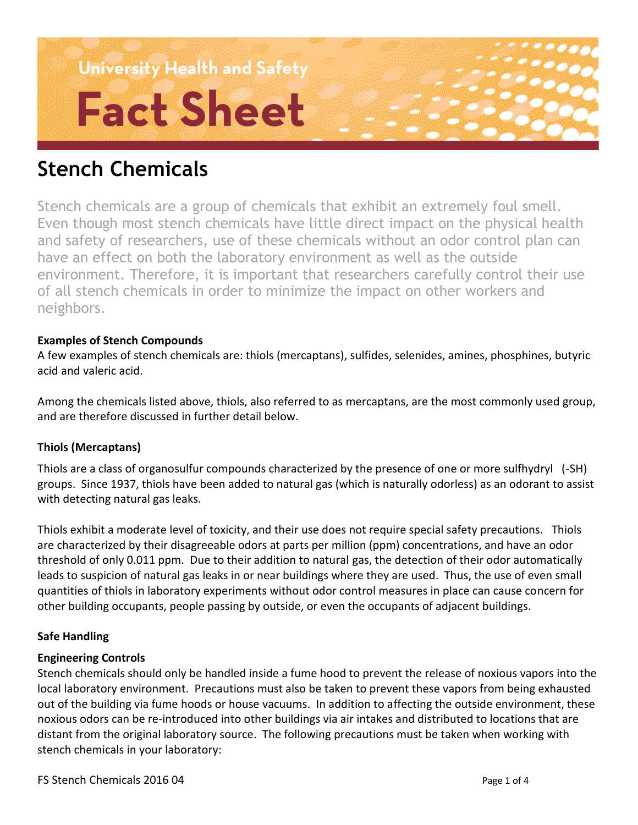# **University Health and Safety Fact Sheet**

# **Stench Chemicals**

Stench chemicals are a group of chemicals that exhibit an extremely foul smell. Even though most stench chemicals have little direct impact on the physical health and safety of researchers, use of these chemicals without an odor control plan can have an effect on both the laboratory environment as well as the outside environment. Therefore, it is important that researchers carefully control their use of all stench chemicals in order to minimize the impact on other workers and neighbors.

# **Examples of Stench Compounds**

A few examples of stench chemicals are: thiols (mercaptans), sulfides, selenides, amines, phosphines, butyric acid and valeric acid.

Among the chemicals listed above, thiols, also referred to as mercaptans, are the most commonly used group, and are therefore discussed in further detail below.

# **Thiols (Mercaptans)**

Thiols are a class of organosulfur compounds characterized by the presence of one or more sulfhydryl (-SH) groups. Since 1937, thiols have been added to natural gas (which is naturally odorless) as an odorant to assist with detecting natural gas leaks.

Thiols exhibit a moderate level of toxicity, and their use does not require special safety precautions. Thiols are characterized by their disagreeable odors at parts per million (ppm) concentrations, and have an odor threshold of only 0.011 ppm. Due to their addition to natural gas, the detection of their odor automatically leads to suspicion of natural gas leaks in or near buildings where they are used. Thus, the use of even small quantities of thiols in laboratory experiments without odor control measures in place can cause concern for other building occupants, people passing by outside, or even the occupants of adjacent buildings.

# **Safe Handling**

# **Engineering Controls**

Stench chemicals should only be handled inside a fume hood to prevent the release of noxious vapors into the local laboratory environment. Precautions must also be taken to prevent these vapors from being exhausted out of the building via fume hoods or house vacuums. In addition to affecting the outside environment, these noxious odors can be re-introduced into other buildings via air intakes and distributed to locations that are distant from the original laboratory source. The following precautions must be taken when working with stench chemicals in your laboratory: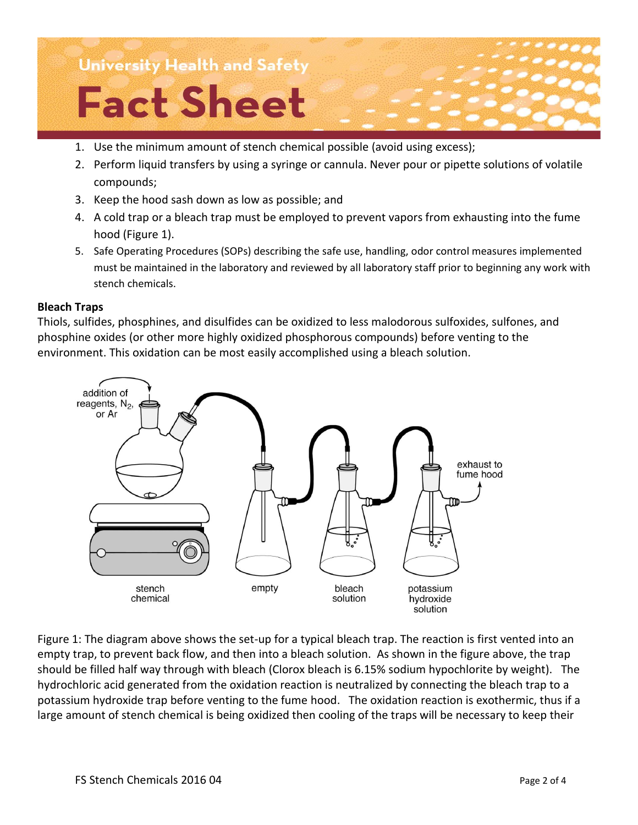

- 1. Use the minimum amount of stench chemical possible (avoid using excess);
- 2. Perform liquid transfers by using a syringe or cannula. Never pour or pipette solutions of volatile compounds;
- 3. Keep the hood sash down as low as possible; and
- 4. A cold trap or a bleach trap must be employed to prevent vapors from exhausting into the fume hood (Figure 1).
- 5. Safe Operating Procedures (SOPs) describing the safe use, handling, odor control measures implemented must be maintained in the laboratory and reviewed by all laboratory staff prior to beginning any work with stench chemicals.

#### **Bleach Traps**

Thiols, sulfides, phosphines, and disulfides can be oxidized to less malodorous sulfoxides, sulfones, and phosphine oxides (or other more highly oxidized phosphorous compounds) before venting to the environment. This oxidation can be most easily accomplished using a bleach solution.



Figure 1: The diagram above shows the set-up for a typical bleach trap. The reaction is first vented into an empty trap, to prevent back flow, and then into a bleach solution. As shown in the figure above, the trap should be filled half way through with bleach (Clorox bleach is 6.15% sodium hypochlorite by weight). The hydrochloric acid generated from the oxidation reaction is neutralized by connecting the bleach trap to a potassium hydroxide trap before venting to the fume hood. The oxidation reaction is exothermic, thus if a large amount of stench chemical is being oxidized then cooling of the traps will be necessary to keep their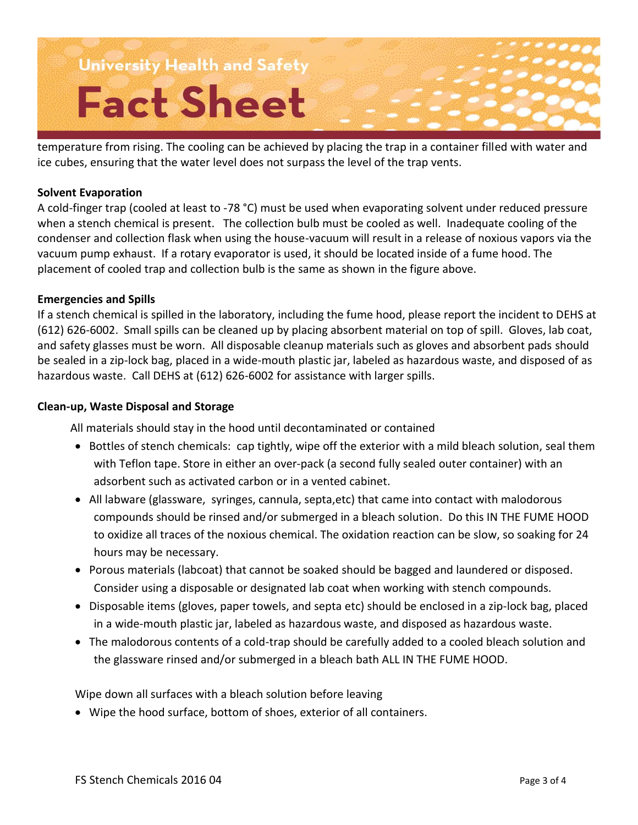**University Health and Safety Fact Sheet** 

temperature from rising. The cooling can be achieved by placing the trap in a container filled with water and ice cubes, ensuring that the water level does not surpass the level of the trap vents.

#### **Solvent Evaporation**

A cold-finger trap (cooled at least to -78 °C) must be used when evaporating solvent under reduced pressure when a stench chemical is present. The collection bulb must be cooled as well. Inadequate cooling of the condenser and collection flask when using the house-vacuum will result in a release of noxious vapors via the vacuum pump exhaust. If a rotary evaporator is used, it should be located inside of a fume hood. The placement of cooled trap and collection bulb is the same as shown in the figure above.

#### **Emergencies and Spills**

If a stench chemical is spilled in the laboratory, including the fume hood, please report the incident to DEHS at (612) 626-6002. Small spills can be cleaned up by placing absorbent material on top of spill. Gloves, lab coat, and safety glasses must be worn. All disposable cleanup materials such as gloves and absorbent pads should be sealed in a zip-lock bag, placed in a wide-mouth plastic jar, labeled as hazardous waste, and disposed of as hazardous waste. Call DEHS at (612) 626-6002 for assistance with larger spills.

#### **Clean-up, Waste Disposal and Storage**

All materials should stay in the hood until decontaminated or contained

- Bottles of stench chemicals: cap tightly, wipe off the exterior with a mild bleach solution, seal them with Teflon tape. Store in either an over-pack (a second fully sealed outer container) with an adsorbent such as activated carbon or in a vented cabinet.
- All labware (glassware, syringes, cannula, septa,etc) that came into contact with malodorous compounds should be rinsed and/or submerged in a bleach solution. Do this IN THE FUME HOOD to oxidize all traces of the noxious chemical. The oxidation reaction can be slow, so soaking for 24 hours may be necessary.
- Porous materials (labcoat) that cannot be soaked should be bagged and laundered or disposed. Consider using a disposable or designated lab coat when working with stench compounds.
- Disposable items (gloves, paper towels, and septa etc) should be enclosed in a zip-lock bag, placed in a wide-mouth plastic jar, labeled as hazardous waste, and disposed as hazardous waste.
- The malodorous contents of a cold-trap should be carefully added to a cooled bleach solution and the glassware rinsed and/or submerged in a bleach bath ALL IN THE FUME HOOD.

Wipe down all surfaces with a bleach solution before leaving

Wipe the hood surface, bottom of shoes, exterior of all containers.